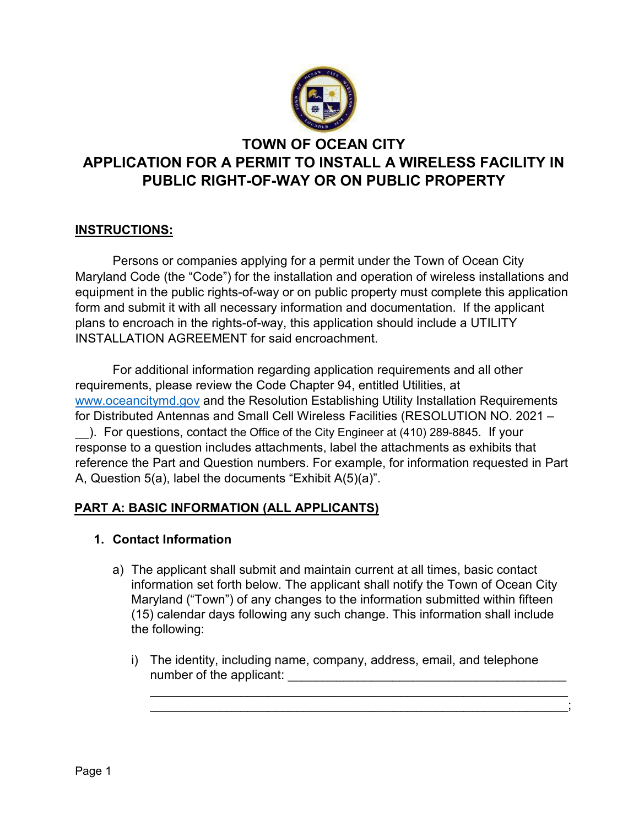

# **TOWN OF OCEAN CITY APPLICATION FOR A PERMIT TO INSTALL A WIRELESS FACILITY IN PUBLIC RIGHT-OF-WAY OR ON PUBLIC PROPERTY**

## **INSTRUCTIONS:**

Persons or companies applying for a permit under the Town of Ocean City Maryland Code (the "Code") for the installation and operation of wireless installations and equipment in the public rights-of-way or on public property must complete this application form and submit it with all necessary information and documentation. If the applicant plans to encroach in the rights-of-way, this application should include a UTILITY INSTALLATION AGREEMENT for said encroachment.

For additional information regarding application requirements and all other requirements, please review the Code Chapter 94, entitled Utilities, at [www.oceancitymd.gov](http://www.oceancitymd.gov/) and the Resolution Establishing Utility Installation Requirements for Distributed Antennas and Small Cell Wireless Facilities (RESOLUTION NO. 2021 – \_\_). For questions, contact the Office of the City Engineer at (410) 289-8845. If your response to a question includes attachments, label the attachments as exhibits that reference the Part and Question numbers. For example, for information requested in Part A, Question 5(a), label the documents "Exhibit A(5)(a)".

## **PART A: BASIC INFORMATION (ALL APPLICANTS)**

## **1. Contact Information**

- a) The applicant shall submit and maintain current at all times, basic contact information set forth below. The applicant shall notify the Town of Ocean City Maryland ("Town") of any changes to the information submitted within fifteen (15) calendar days following any such change. This information shall include the following:
	- i) The identity, including name, company, address, email, and telephone number of the applicant:

\_\_\_\_\_\_\_\_\_\_\_\_\_\_\_\_\_\_\_\_\_\_\_\_\_\_\_\_\_\_\_\_\_\_\_\_\_\_\_\_\_\_\_\_\_\_\_\_\_\_\_\_\_\_\_\_\_\_\_\_ \_\_\_\_\_\_\_\_\_\_\_\_\_\_\_\_\_\_\_\_\_\_\_\_\_\_\_\_\_\_\_\_\_\_\_\_\_\_\_\_\_\_\_\_\_\_\_\_\_\_\_\_\_\_\_\_\_\_\_\_;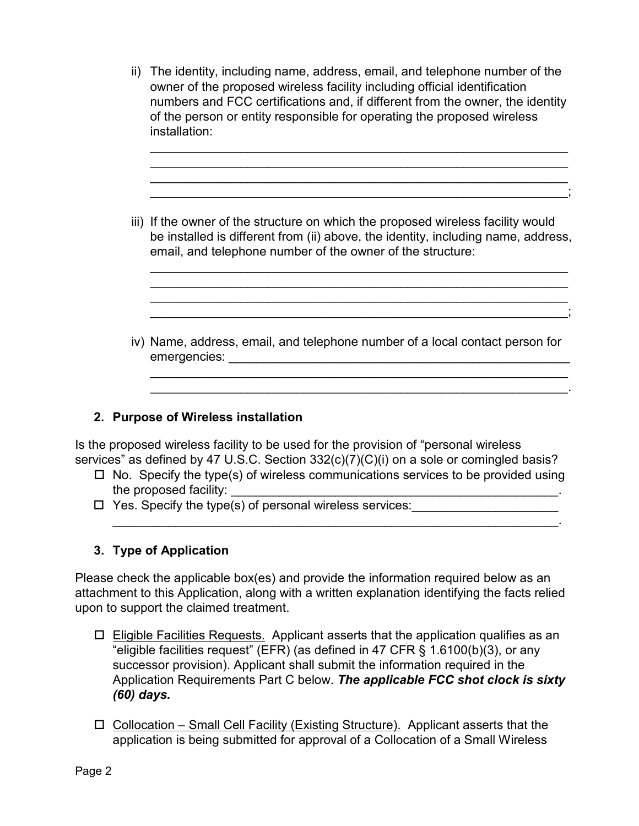ii) The identity, including name, address, email, and telephone number of the owner of the proposed wireless facility including official identification numbers and FCC certifications and, if different from the owner, the identity of the person or entity responsible for operating the proposed wireless installation:

\_\_\_\_\_\_\_\_\_\_\_\_\_\_\_\_\_\_\_\_\_\_\_\_\_\_\_\_\_\_\_\_\_\_\_\_\_\_\_\_\_\_\_\_\_\_\_\_\_\_\_\_\_\_\_\_\_\_\_\_ \_\_\_\_\_\_\_\_\_\_\_\_\_\_\_\_\_\_\_\_\_\_\_\_\_\_\_\_\_\_\_\_\_\_\_\_\_\_\_\_\_\_\_\_\_\_\_\_\_\_\_\_\_\_\_\_\_\_\_\_ \_\_\_\_\_\_\_\_\_\_\_\_\_\_\_\_\_\_\_\_\_\_\_\_\_\_\_\_\_\_\_\_\_\_\_\_\_\_\_\_\_\_\_\_\_\_\_\_\_\_\_\_\_\_\_\_\_\_\_\_ \_\_\_\_\_\_\_\_\_\_\_\_\_\_\_\_\_\_\_\_\_\_\_\_\_\_\_\_\_\_\_\_\_\_\_\_\_\_\_\_\_\_\_\_\_\_\_\_\_\_\_\_\_\_\_\_\_\_\_\_;

iii) If the owner of the structure on which the proposed wireless facility would be installed is different from (ii) above, the identity, including name, address, email, and telephone number of the owner of the structure:

\_\_\_\_\_\_\_\_\_\_\_\_\_\_\_\_\_\_\_\_\_\_\_\_\_\_\_\_\_\_\_\_\_\_\_\_\_\_\_\_\_\_\_\_\_\_\_\_\_\_\_\_\_\_\_\_\_\_\_\_ \_\_\_\_\_\_\_\_\_\_\_\_\_\_\_\_\_\_\_\_\_\_\_\_\_\_\_\_\_\_\_\_\_\_\_\_\_\_\_\_\_\_\_\_\_\_\_\_\_\_\_\_\_\_\_\_\_\_\_\_ \_\_\_\_\_\_\_\_\_\_\_\_\_\_\_\_\_\_\_\_\_\_\_\_\_\_\_\_\_\_\_\_\_\_\_\_\_\_\_\_\_\_\_\_\_\_\_\_\_\_\_\_\_\_\_\_\_\_\_\_ \_\_\_\_\_\_\_\_\_\_\_\_\_\_\_\_\_\_\_\_\_\_\_\_\_\_\_\_\_\_\_\_\_\_\_\_\_\_\_\_\_\_\_\_\_\_\_\_\_\_\_\_\_\_\_\_\_\_\_\_;

iv) Name, address, email, and telephone number of a local contact person for emergencies: \_\_\_\_\_\_\_\_\_\_\_\_\_\_\_\_\_\_\_\_\_\_\_\_\_\_\_\_\_\_\_\_\_\_\_\_\_\_\_\_\_\_\_\_\_\_\_\_\_

\_\_\_\_\_\_\_\_\_\_\_\_\_\_\_\_\_\_\_\_\_\_\_\_\_\_\_\_\_\_\_\_\_\_\_\_\_\_\_\_\_\_\_\_\_\_\_\_\_\_\_\_\_\_\_\_\_\_\_\_ \_\_\_\_\_\_\_\_\_\_\_\_\_\_\_\_\_\_\_\_\_\_\_\_\_\_\_\_\_\_\_\_\_\_\_\_\_\_\_\_\_\_\_\_\_\_\_\_\_\_\_\_\_\_\_\_\_\_\_\_.

## **2. Purpose of Wireless installation**

Is the proposed wireless facility to be used for the provision of "personal wireless services" as defined by 47 U.S.C. Section 332(c)(7)(C)(i) on a sole or comingled basis?

 $\Box$  No. Specify the type(s) of wireless communications services to be provided using the proposed facility:

\_\_\_\_\_\_\_\_\_\_\_\_\_\_\_\_\_\_\_\_\_\_\_\_\_\_\_\_\_\_\_\_\_\_\_\_\_\_\_\_\_\_\_\_\_\_\_\_\_\_\_\_\_\_\_\_\_\_\_\_\_\_\_\_.

Yes. Specify the type(s) of personal wireless services:\_\_\_\_\_\_\_\_\_\_\_\_\_\_\_\_\_\_\_\_\_

## **3. Type of Application**

Please check the applicable box(es) and provide the information required below as an attachment to this Application, along with a written explanation identifying the facts relied upon to support the claimed treatment.

- $\Box$  Eligible Facilities Requests. Applicant asserts that the application qualifies as an "eligible facilities request" (EFR) (as defined in 47 CFR § 1.6100(b)(3), or any successor provision). Applicant shall submit the information required in the Application Requirements Part C below. *The applicable FCC shot clock is sixty (60) days.*
- $\Box$  Collocation Small Cell Facility (Existing Structure). Applicant asserts that the application is being submitted for approval of a Collocation of a Small Wireless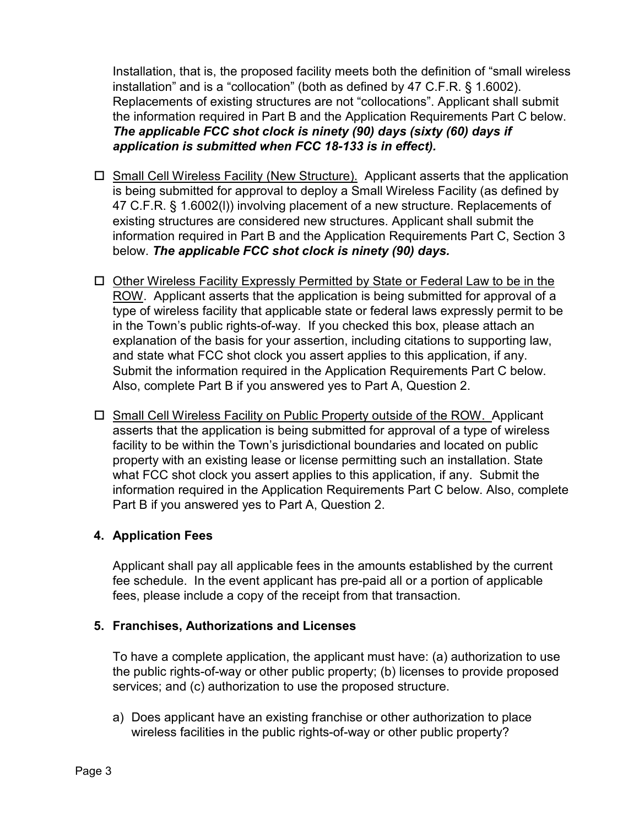Installation, that is, the proposed facility meets both the definition of "small wireless installation" and is a "collocation" (both as defined by 47 C.F.R. § 1.6002). Replacements of existing structures are not "collocations". Applicant shall submit the information required in Part B and the Application Requirements Part C below. *The applicable FCC shot clock is ninety (90) days (sixty (60) days if application is submitted when FCC 18-133 is in effect).*

- $\Box$  Small Cell Wireless Facility (New Structure). Applicant asserts that the application is being submitted for approval to deploy a Small Wireless Facility (as defined by 47 C.F.R. § 1.6002(l)) involving placement of a new structure. Replacements of existing structures are considered new structures. Applicant shall submit the information required in Part B and the Application Requirements Part C, Section 3 below. *The applicable FCC shot clock is ninety (90) days.*
- $\Box$  Other Wireless Facility Expressly Permitted by State or Federal Law to be in the ROW. Applicant asserts that the application is being submitted for approval of a type of wireless facility that applicable state or federal laws expressly permit to be in the Town's public rights-of-way.If you checked this box, please attach an explanation of the basis for your assertion, including citations to supporting law, and state what FCC shot clock you assert applies to this application, if any. Submit the information required in the Application Requirements Part C below. Also, complete Part B if you answered yes to Part A, Question 2.
- □ Small Cell Wireless Facility on Public Property outside of the ROW. Applicant asserts that the application is being submitted for approval of a type of wireless facility to be within the Town's jurisdictional boundaries and located on public property with an existing lease or license permitting such an installation. State what FCC shot clock you assert applies to this application, if any. Submit the information required in the Application Requirements Part C below. Also, complete Part B if you answered yes to Part A, Question 2.

#### **4. Application Fees**

Applicant shall pay all applicable fees in the amounts established by the current fee schedule. In the event applicant has pre-paid all or a portion of applicable fees, please include a copy of the receipt from that transaction.

#### **5. Franchises, Authorizations and Licenses**

To have a complete application, the applicant must have: (a) authorization to use the public rights-of-way or other public property; (b) licenses to provide proposed services; and (c) authorization to use the proposed structure.

a) Does applicant have an existing franchise or other authorization to place wireless facilities in the public rights-of-way or other public property?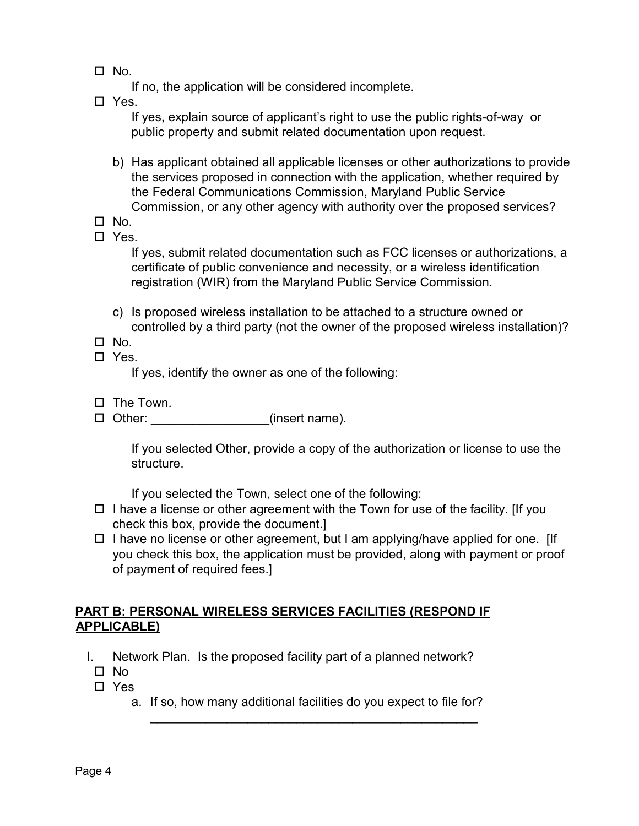$\Box$  No.

If no, the application will be considered incomplete.

□ Yes.

If yes, explain source of applicant's right to use the public rights-of-way or public property and submit related documentation upon request.

- b) Has applicant obtained all applicable licenses or other authorizations to provide the services proposed in connection with the application, whether required by the Federal Communications Commission, Maryland Public Service Commission, or any other agency with authority over the proposed services?
- $\square$  No.
- □ Yes.

If yes, submit related documentation such as FCC licenses or authorizations, a certificate of public convenience and necessity, or a wireless identification registration (WIR) from the Maryland Public Service Commission.

- c) Is proposed wireless installation to be attached to a structure owned or controlled by a third party (not the owner of the proposed wireless installation)?
- $\Box$  No.
- □ Yes.

If yes, identify the owner as one of the following:

- $\Box$  The Town.
- □ Other: \_\_\_\_\_\_\_\_\_\_\_\_\_\_\_\_\_(insert name).

If you selected Other, provide a copy of the authorization or license to use the structure.

If you selected the Town, select one of the following:

- $\Box$  I have a license or other agreement with the Town for use of the facility. [If you check this box, provide the document.]
- $\Box$  I have no license or other agreement, but I am applying/have applied for one. [If you check this box, the application must be provided, along with payment or proof of payment of required fees.]

#### **PART B: PERSONAL WIRELESS SERVICES FACILITIES (RESPOND IF APPLICABLE)**

- I. Network Plan. Is the proposed facility part of a planned network?
	- No
	- □ Yes
		- a. If so, how many additional facilities do you expect to file for? \_\_\_\_\_\_\_\_\_\_\_\_\_\_\_\_\_\_\_\_\_\_\_\_\_\_\_\_\_\_\_\_\_\_\_\_\_\_\_\_\_\_\_\_\_\_\_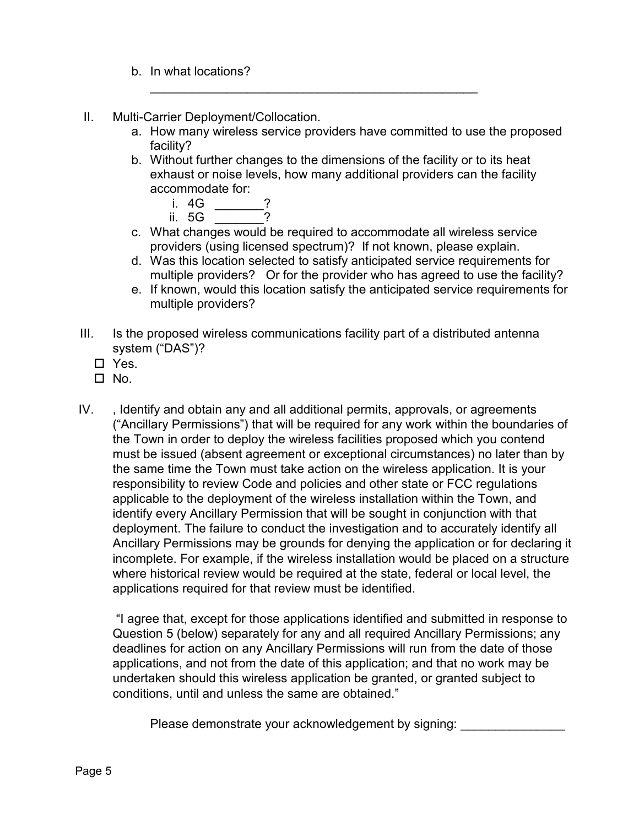- b. In what locations?
- II. Multi-Carrier Deployment/Collocation.
	- a. How many wireless service providers have committed to use the proposed facility?
	- b. Without further changes to the dimensions of the facility or to its heat exhaust or noise levels, how many additional providers can the facility accommodate for:

\_\_\_\_\_\_\_\_\_\_\_\_\_\_\_\_\_\_\_\_\_\_\_\_\_\_\_\_\_\_\_\_\_\_\_\_\_\_\_\_\_\_\_\_\_\_\_

- i. 4G \_\_\_\_\_\_\_?
- ii.  $5G$
- c. What changes would be required to accommodate all wireless service providers (using licensed spectrum)? If not known, please explain.
- d. Was this location selected to satisfy anticipated service requirements for multiple providers? Or for the provider who has agreed to use the facility?
- e. If known, would this location satisfy the anticipated service requirements for multiple providers?
- III. Is the proposed wireless communications facility part of a distributed antenna system ("DAS")?
	- □ Yes.
	- $\square$  No.
- IV. , Identify and obtain any and all additional permits, approvals, or agreements ("Ancillary Permissions") that will be required for any work within the boundaries of the Town in order to deploy the wireless facilities proposed which you contend must be issued (absent agreement or exceptional circumstances) no later than by the same time the Town must take action on the wireless application. It is your responsibility to review Code and policies and other state or FCC regulations applicable to the deployment of the wireless installation within the Town, and identify every Ancillary Permission that will be sought in conjunction with that deployment. The failure to conduct the investigation and to accurately identify all Ancillary Permissions may be grounds for denying the application or for declaring it incomplete. For example, if the wireless installation would be placed on a structure where historical review would be required at the state, federal or local level, the applications required for that review must be identified.

"I agree that, except for those applications identified and submitted in response to Question 5 (below) separately for any and all required Ancillary Permissions; any deadlines for action on any Ancillary Permissions will run from the date of those applications, and not from the date of this application; and that no work may be undertaken should this wireless application be granted, or granted subject to conditions, until and unless the same are obtained."

Please demonstrate your acknowledgement by signing: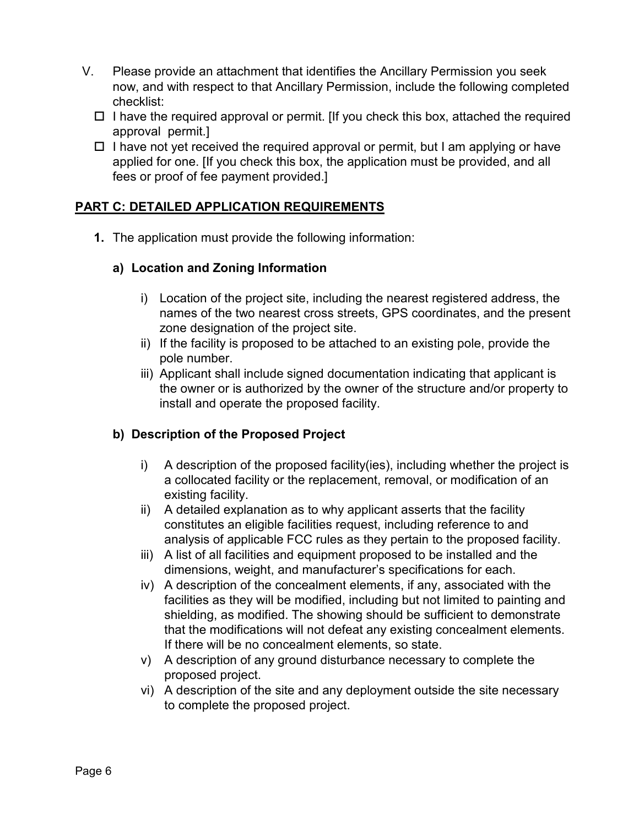- V. Please provide an attachment that identifies the Ancillary Permission you seek now, and with respect to that Ancillary Permission, include the following completed checklist:
	- $\Box$  I have the required approval or permit. [If you check this box, attached the required approval permit.]
	- $\Box$  I have not yet received the required approval or permit, but I am applying or have applied for one. [If you check this box, the application must be provided, and all fees or proof of fee payment provided.]

## **PART C: DETAILED APPLICATION REQUIREMENTS**

**1.** The application must provide the following information:

#### **a) Location and Zoning Information**

- i) Location of the project site, including the nearest registered address, the names of the two nearest cross streets, GPS coordinates, and the present zone designation of the project site.
- ii) If the facility is proposed to be attached to an existing pole, provide the pole number.
- iii) Applicant shall include signed documentation indicating that applicant is the owner or is authorized by the owner of the structure and/or property to install and operate the proposed facility.

## **b) Description of the Proposed Project**

- i) A description of the proposed facility(ies), including whether the project is a collocated facility or the replacement, removal, or modification of an existing facility.
- ii) A detailed explanation as to why applicant asserts that the facility constitutes an eligible facilities request, including reference to and analysis of applicable FCC rules as they pertain to the proposed facility.
- iii) A list of all facilities and equipment proposed to be installed and the dimensions, weight, and manufacturer's specifications for each.
- iv) A description of the concealment elements, if any, associated with the facilities as they will be modified, including but not limited to painting and shielding, as modified. The showing should be sufficient to demonstrate that the modifications will not defeat any existing concealment elements. If there will be no concealment elements, so state.
- v) A description of any ground disturbance necessary to complete the proposed project.
- vi) A description of the site and any deployment outside the site necessary to complete the proposed project.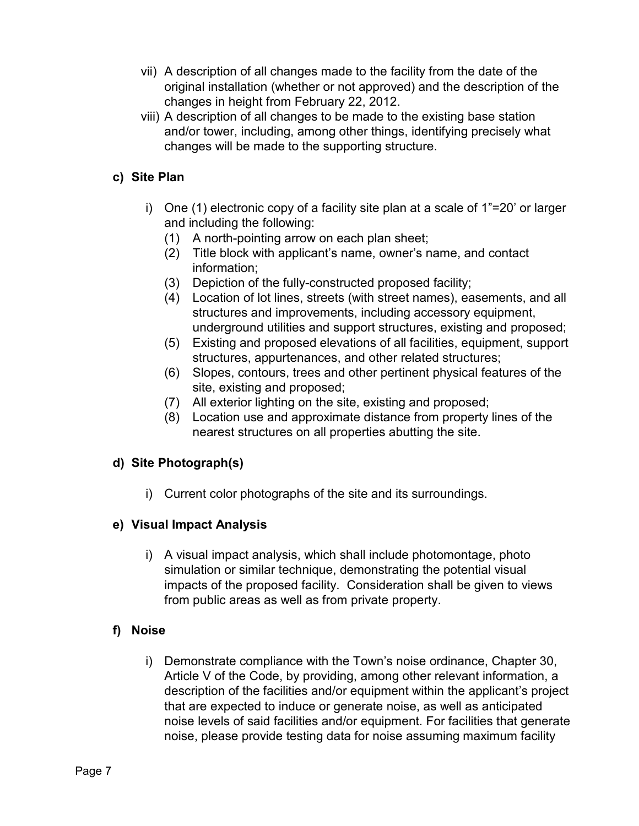- vii) A description of all changes made to the facility from the date of the original installation (whether or not approved) and the description of the changes in height from February 22, 2012.
- viii) A description of all changes to be made to the existing base station and/or tower, including, among other things, identifying precisely what changes will be made to the supporting structure.

## **c) Site Plan**

- i) One (1) electronic copy of a facility site plan at a scale of 1"=20' or larger and including the following:
	- (1) A north-pointing arrow on each plan sheet;
	- (2) Title block with applicant's name, owner's name, and contact information;
	- (3) Depiction of the fully-constructed proposed facility;
	- (4) Location of lot lines, streets (with street names), easements, and all structures and improvements, including accessory equipment, underground utilities and support structures, existing and proposed;
	- (5) Existing and proposed elevations of all facilities, equipment, support structures, appurtenances, and other related structures;
	- (6) Slopes, contours, trees and other pertinent physical features of the site, existing and proposed;
	- (7) All exterior lighting on the site, existing and proposed;
	- (8) Location use and approximate distance from property lines of the nearest structures on all properties abutting the site.

## **d) Site Photograph(s)**

i) Current color photographs of the site and its surroundings.

## **e) Visual Impact Analysis**

i) A visual impact analysis, which shall include photomontage, photo simulation or similar technique, demonstrating the potential visual impacts of the proposed facility. Consideration shall be given to views from public areas as well as from private property.

## **f) Noise**

i) Demonstrate compliance with the Town's noise ordinance, Chapter 30, Article V of the Code, by providing, among other relevant information, a description of the facilities and/or equipment within the applicant's project that are expected to induce or generate noise, as well as anticipated noise levels of said facilities and/or equipment. For facilities that generate noise, please provide testing data for noise assuming maximum facility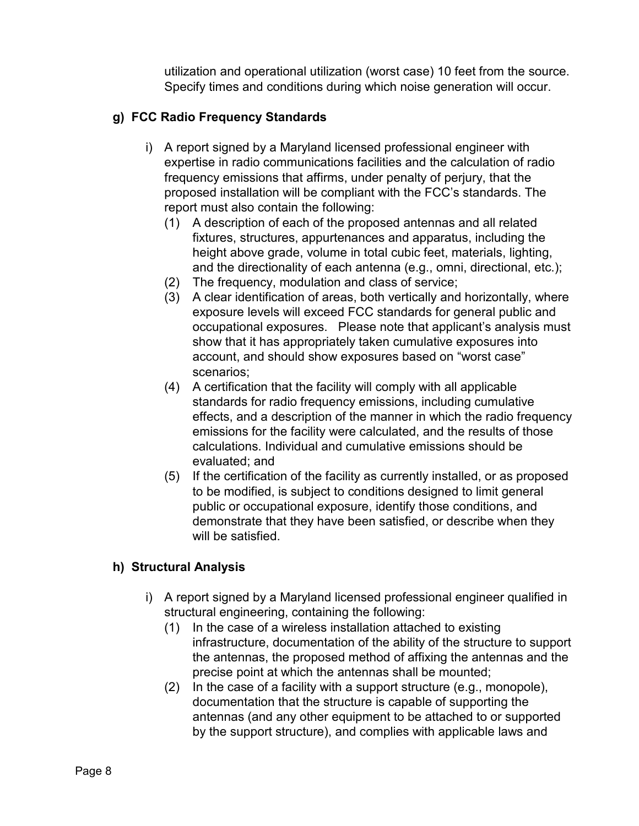utilization and operational utilization (worst case) 10 feet from the source. Specify times and conditions during which noise generation will occur.

## **g) FCC Radio Frequency Standards**

- i) A report signed by a Maryland licensed professional engineer with expertise in radio communications facilities and the calculation of radio frequency emissions that affirms, under penalty of perjury, that the proposed installation will be compliant with the FCC's standards. The report must also contain the following:
	- (1) A description of each of the proposed antennas and all related fixtures, structures, appurtenances and apparatus, including the height above grade, volume in total cubic feet, materials, lighting, and the directionality of each antenna (e.g., omni, directional, etc.);
	- (2) The frequency, modulation and class of service;
	- (3) A clear identification of areas, both vertically and horizontally, where exposure levels will exceed FCC standards for general public and occupational exposures. Please note that applicant's analysis must show that it has appropriately taken cumulative exposures into account, and should show exposures based on "worst case" scenarios;
	- (4) A certification that the facility will comply with all applicable standards for radio frequency emissions, including cumulative effects, and a description of the manner in which the radio frequency emissions for the facility were calculated, and the results of those calculations. Individual and cumulative emissions should be evaluated; and
	- (5) If the certification of the facility as currently installed, or as proposed to be modified, is subject to conditions designed to limit general public or occupational exposure, identify those conditions, and demonstrate that they have been satisfied, or describe when they will be satisfied.

## **h) Structural Analysis**

- i) A report signed by a Maryland licensed professional engineer qualified in structural engineering, containing the following:
	- (1) In the case of a wireless installation attached to existing infrastructure, documentation of the ability of the structure to support the antennas, the proposed method of affixing the antennas and the precise point at which the antennas shall be mounted;
	- (2) In the case of a facility with a support structure (e.g., monopole), documentation that the structure is capable of supporting the antennas (and any other equipment to be attached to or supported by the support structure), and complies with applicable laws and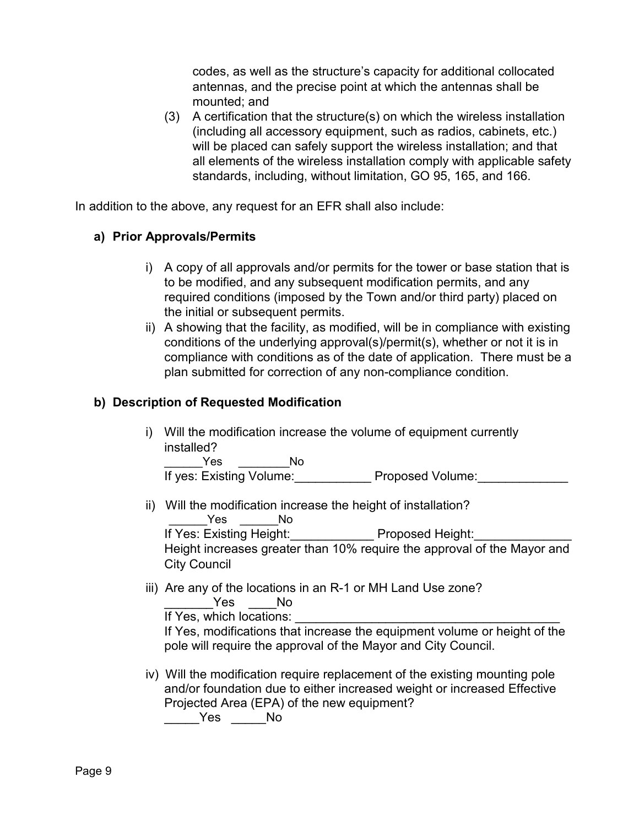codes, as well as the structure's capacity for additional collocated antennas, and the precise point at which the antennas shall be mounted; and

(3) A certification that the structure(s) on which the wireless installation (including all accessory equipment, such as radios, cabinets, etc.) will be placed can safely support the wireless installation; and that all elements of the wireless installation comply with applicable safety standards, including, without limitation, GO 95, 165, and 166.

In addition to the above, any request for an EFR shall also include:

## **a) Prior Approvals/Permits**

- i) A copy of all approvals and/or permits for the tower or base station that is to be modified, and any subsequent modification permits, and any required conditions (imposed by the Town and/or third party) placed on the initial or subsequent permits.
- ii) A showing that the facility, as modified, will be in compliance with existing conditions of the underlying approval(s)/permit(s), whether or not it is in compliance with conditions as of the date of application. There must be a plan submitted for correction of any non-compliance condition.

#### **b) Description of Requested Modification**

i) Will the modification increase the volume of equipment currently installed?

\_\_\_\_\_\_Yes \_\_\_\_\_\_\_\_No If yes: Existing Volume: Proposed Volume:

ii) Will the modification increase the height of installation? Yes No

If Yes: Existing Height: Proposed Height:

Height increases greater than 10% require the approval of the Mayor and City Council

iii) Are any of the locations in an R-1 or MH Land Use zone? Yes No

If Yes, which locations:

If Yes, modifications that increase the equipment volume or height of the pole will require the approval of the Mayor and City Council.

iv) Will the modification require replacement of the existing mounting pole and/or foundation due to either increased weight or increased Effective Projected Area (EPA) of the new equipment?

\_\_\_\_\_Yes \_\_\_\_\_No